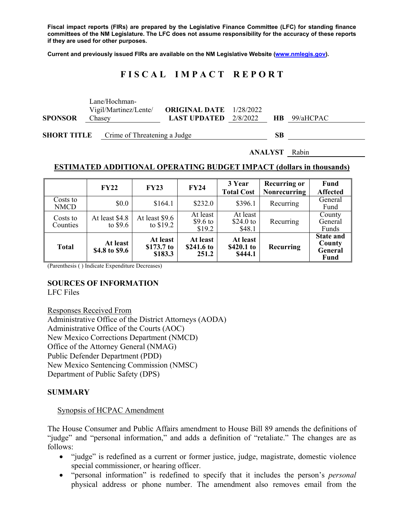**Fiscal impact reports (FIRs) are prepared by the Legislative Finance Committee (LFC) for standing finance committees of the NM Legislature. The LFC does not assume responsibility for the accuracy of these reports if they are used for other purposes.** 

**Current and previously issued FIRs are available on the NM Legislative Website (www.nmlegis.gov).** 

# **F I S C A L I M P A C T R E P O R T**

|                | <b>SHORT TITLE</b> Crime of Threatening a Judge  |                                                                  | SВ |                     |  |  |
|----------------|--------------------------------------------------|------------------------------------------------------------------|----|---------------------|--|--|
| <b>SPONSOR</b> | Lane/Hochman-<br>Vigil/Martinez/Lente/<br>Chasey | <b>ORIGINAL DATE</b> 1/28/2022<br><b>LAST UPDATED</b> $2/8/2022$ |    | <b>HB</b> 99/aHCPAC |  |  |

**ANALYST** Rabin

#### **ESTIMATED ADDITIONAL OPERATING BUDGET IMPACT (dollars in thousands)**

|                         | <b>FY22</b>                 | <b>FY23</b>                       | <b>FY24</b>                     | 3 Year<br><b>Total Cost</b>       | <b>Recurring or</b><br><b>Nonrecurring</b> | Fund<br><b>Affected</b>                              |
|-------------------------|-----------------------------|-----------------------------------|---------------------------------|-----------------------------------|--------------------------------------------|------------------------------------------------------|
| Costs to<br><b>NMCD</b> | \$0.0                       | \$164.1                           | \$232.0                         | \$396.1                           | Recurring                                  | General<br>Fund                                      |
| Costs to<br>Counties    | At least \$4.8<br>to $$9.6$ | At least \$9.6<br>to $$19.2$      | At least<br>\$9.6 to<br>\$19.2  | At least<br>$$24.0$ to<br>\$48.1  | Recurring                                  | County<br>General<br>Funds                           |
| <b>Total</b>            | At least<br>\$4.8 to \$9.6  | At least<br>\$173.7 to<br>\$183.3 | At least<br>\$241.6 to<br>251.2 | At least<br>\$420.1 to<br>\$444.1 | Recurring                                  | <b>State and</b><br>County<br>General<br><b>Fund</b> |

(Parenthesis ( ) Indicate Expenditure Decreases)

## **SOURCES OF INFORMATION**

LFC Files

Responses Received From Administrative Office of the District Attorneys (AODA) Administrative Office of the Courts (AOC) New Mexico Corrections Department (NMCD) Office of the Attorney General (NMAG) Public Defender Department (PDD) New Mexico Sentencing Commission (NMSC) Department of Public Safety (DPS)

#### **SUMMARY**

#### Synopsis of HCPAC Amendment

The House Consumer and Public Affairs amendment to House Bill 89 amends the definitions of "judge" and "personal information," and adds a definition of "retaliate." The changes are as follows:

- "judge" is redefined as a current or former justice, judge, magistrate, domestic violence special commissioner, or hearing officer.
- "personal information" is redefined to specify that it includes the person's *personal*  physical address or phone number. The amendment also removes email from the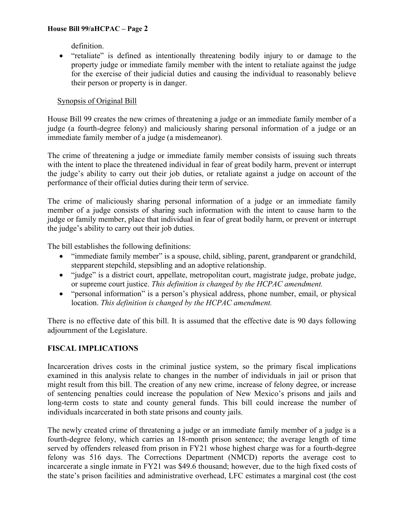### **House Bill 99/aHCPAC – Page 2**

definition.

 "retaliate" is defined as intentionally threatening bodily injury to or damage to the property judge or immediate family member with the intent to retaliate against the judge for the exercise of their judicial duties and causing the individual to reasonably believe their person or property is in danger.

## Synopsis of Original Bill

House Bill 99 creates the new crimes of threatening a judge or an immediate family member of a judge (a fourth-degree felony) and maliciously sharing personal information of a judge or an immediate family member of a judge (a misdemeanor).

The crime of threatening a judge or immediate family member consists of issuing such threats with the intent to place the threatened individual in fear of great bodily harm, prevent or interrupt the judge's ability to carry out their job duties, or retaliate against a judge on account of the performance of their official duties during their term of service.

The crime of maliciously sharing personal information of a judge or an immediate family member of a judge consists of sharing such information with the intent to cause harm to the judge or family member, place that individual in fear of great bodily harm, or prevent or interrupt the judge's ability to carry out their job duties.

The bill establishes the following definitions:

- "immediate family member" is a spouse, child, sibling, parent, grandparent or grandchild, stepparent stepchild, stepsibling and an adoptive relationship.
- "judge" is a district court, appellate, metropolitan court, magistrate judge, probate judge, or supreme court justice. *This definition is changed by the HCPAC amendment.*
- "personal information" is a person's physical address, phone number, email, or physical location. *This definition is changed by the HCPAC amendment.*

There is no effective date of this bill. It is assumed that the effective date is 90 days following adjournment of the Legislature.

## **FISCAL IMPLICATIONS**

Incarceration drives costs in the criminal justice system, so the primary fiscal implications examined in this analysis relate to changes in the number of individuals in jail or prison that might result from this bill. The creation of any new crime, increase of felony degree, or increase of sentencing penalties could increase the population of New Mexico's prisons and jails and long-term costs to state and county general funds. This bill could increase the number of individuals incarcerated in both state prisons and county jails.

The newly created crime of threatening a judge or an immediate family member of a judge is a fourth-degree felony, which carries an 18-month prison sentence; the average length of time served by offenders released from prison in FY21 whose highest charge was for a fourth-degree felony was 516 days. The Corrections Department (NMCD) reports the average cost to incarcerate a single inmate in FY21 was \$49.6 thousand; however, due to the high fixed costs of the state's prison facilities and administrative overhead, LFC estimates a marginal cost (the cost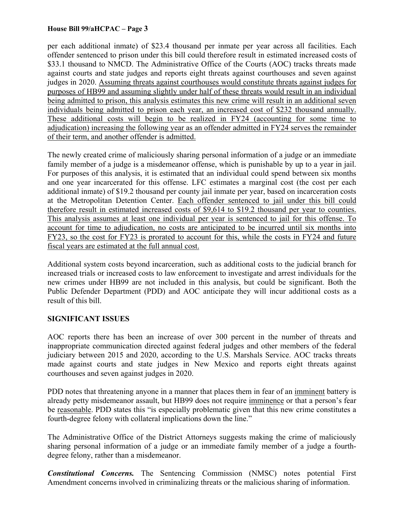### **House Bill 99/aHCPAC – Page 3**

per each additional inmate) of \$23.4 thousand per inmate per year across all facilities. Each offender sentenced to prison under this bill could therefore result in estimated increased costs of \$33.1 thousand to NMCD. The Administrative Office of the Courts (AOC) tracks threats made against courts and state judges and reports eight threats against courthouses and seven against judges in 2020. Assuming threats against courthouses would constitute threats against judges for purposes of HB99 and assuming slightly under half of these threats would result in an individual being admitted to prison, this analysis estimates this new crime will result in an additional seven individuals being admitted to prison each year, an increased cost of \$232 thousand annually. These additional costs will begin to be realized in FY24 (accounting for some time to adjudication) increasing the following year as an offender admitted in FY24 serves the remainder of their term, and another offender is admitted.

The newly created crime of maliciously sharing personal information of a judge or an immediate family member of a judge is a misdemeanor offense, which is punishable by up to a year in jail. For purposes of this analysis, it is estimated that an individual could spend between six months and one year incarcerated for this offense. LFC estimates a marginal cost (the cost per each additional inmate) of \$19.2 thousand per county jail inmate per year, based on incarceration costs at the Metropolitan Detention Center. Each offender sentenced to jail under this bill could therefore result in estimated increased costs of \$9,614 to \$19.2 thousand per year to counties. This analysis assumes at least one individual per year is sentenced to jail for this offense. To account for time to adjudication, no costs are anticipated to be incurred until six months into FY23, so the cost for FY23 is prorated to account for this, while the costs in FY24 and future fiscal years are estimated at the full annual cost.

Additional system costs beyond incarceration, such as additional costs to the judicial branch for increased trials or increased costs to law enforcement to investigate and arrest individuals for the new crimes under HB99 are not included in this analysis, but could be significant. Both the Public Defender Department (PDD) and AOC anticipate they will incur additional costs as a result of this bill.

## **SIGNIFICANT ISSUES**

AOC reports there has been an increase of over 300 percent in the number of threats and inappropriate communication directed against federal judges and other members of the federal judiciary between 2015 and 2020, according to the U.S. Marshals Service. AOC tracks threats made against courts and state judges in New Mexico and reports eight threats against courthouses and seven against judges in 2020.

PDD notes that threatening anyone in a manner that places them in fear of an imminent battery is already petty misdemeanor assault, but HB99 does not require imminence or that a person's fear be reasonable. PDD states this "is especially problematic given that this new crime constitutes a fourth-degree felony with collateral implications down the line."

The Administrative Office of the District Attorneys suggests making the crime of maliciously sharing personal information of a judge or an immediate family member of a judge a fourthdegree felony, rather than a misdemeanor.

*Constitutional Concerns.* The Sentencing Commission (NMSC) notes potential First Amendment concerns involved in criminalizing threats or the malicious sharing of information.